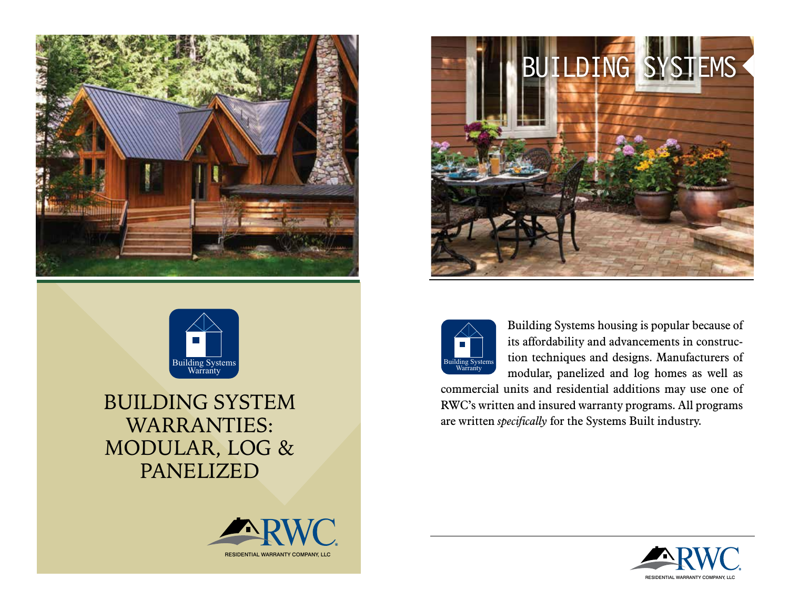



## BUILDING SYSTEM WARRANTIES: MODULAR, LOG & PANELIZED







Building Systems housing is popular because of its affordability and advancements in construction techniques and designs. Manufacturers of modular, panelized and log homes as well as

commercial units and residential additions may use one of RWC's written and insured warranty programs. All programs are written *specifically* for the Systems Built industry.

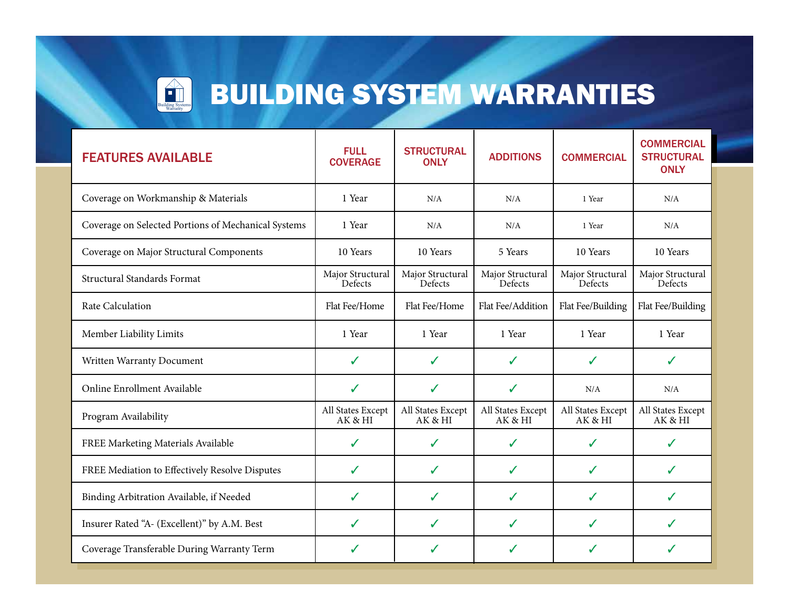

# EN BUILDING SYSTEM WARRANTIES

Τ

Τ

| <b>FEATURES AVAILABLE</b>                           | <b>FULL</b><br><b>COVERAGE</b> | <b>STRUCTURAL</b><br><b>ONLY</b> | <b>ADDITIONS</b>             | <b>COMMERCIAL</b>            | <b>COMMERCIAL</b><br><b>STRUCTURAL</b><br><b>ONLY</b> |
|-----------------------------------------------------|--------------------------------|----------------------------------|------------------------------|------------------------------|-------------------------------------------------------|
| Coverage on Workmanship & Materials                 | 1 Year                         | N/A                              | N/A                          | 1 Year                       | N/A                                                   |
| Coverage on Selected Portions of Mechanical Systems | 1 Year                         | N/A                              | N/A                          | 1 Year                       | N/A                                                   |
| Coverage on Major Structural Components             | 10 Years                       | 10 Years                         | 5 Years                      | 10 Years                     | 10 Years                                              |
| Structural Standards Format                         | Major Structural<br>Defects    | Major Structural<br>Defects      | Major Structural<br>Defects  | Major Structural<br>Defects  | Major Structural<br>Defects                           |
| Rate Calculation                                    | Flat Fee/Home                  | Flat Fee/Home                    | Flat Fee/Addition            | Flat Fee/Building            | Flat Fee/Building                                     |
| Member Liability Limits                             | 1 Year                         | 1 Year                           | 1 Year                       | 1 Year                       | 1 Year                                                |
| Written Warranty Document                           | ✓                              | $\checkmark$                     | ✓                            | ✓                            | ✓                                                     |
| Online Enrollment Available                         | $\checkmark$                   | $\checkmark$                     | ✓                            | N/A                          | N/A                                                   |
| Program Availability                                | All States Except<br>AK & HI   | All States Except<br>AK & HI     | All States Except<br>AK & HI | All States Except<br>AK & HI | All States Except<br>AK & HI                          |
| FREE Marketing Materials Available                  | ✓                              | ✓                                | ✓                            | ✓                            | ✓                                                     |
| FREE Mediation to Effectively Resolve Disputes      | $\checkmark$                   | ✓                                | ✓                            | ✓                            | ✓                                                     |
| Binding Arbitration Available, if Needed            | $\checkmark$                   | ✓                                | ✓                            | ✓                            | ✓                                                     |
| Insurer Rated "A- (Excellent)" by A.M. Best         | ✓                              | ✓                                | ✓                            | ✓                            | ✓                                                     |
| Coverage Transferable During Warranty Term          | ✓                              | ✓                                | ✓                            | ✓                            | ✓                                                     |

Τ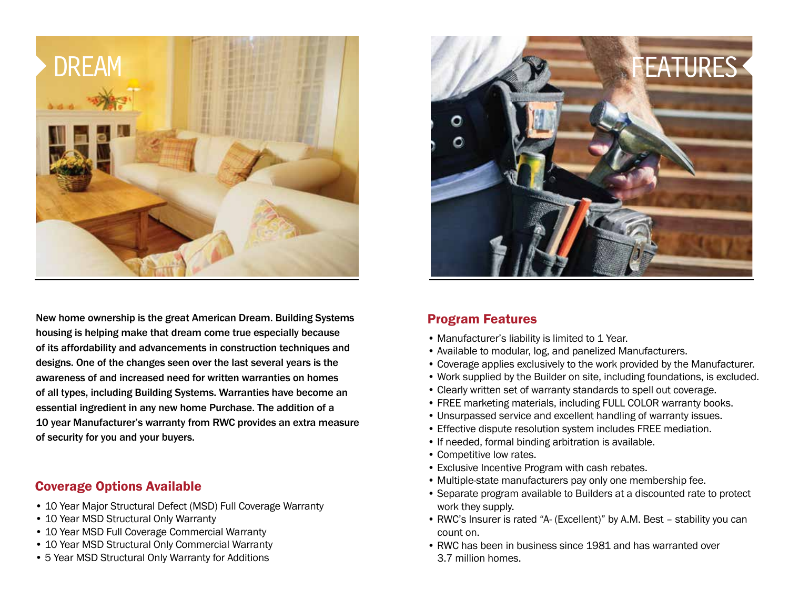

New home ownership is the great American Dream. Building Systems housing is helping make that dream come true especially because of its affordability and advancements in construction techniques and designs. One of the changes seen over the last several years is the awareness of and increased need for written warranties on homes of all types, including Building Systems. Warranties have become an essential ingredient in any new home Purchase. The addition of a 10 year Manufacturer's warranty from RWC provides an extra measure of security for you and your buyers.

#### Coverage Options Available

- 10 Year Major Structural Defect (MSD) Full Coverage Warranty
- 10 Year MSD Structural Only Warranty
- 10 Year MSD Full Coverage Commercial Warranty
- 10 Year MSD Structural Only Commercial Warranty
- 5 Year MSD Structural Only Warranty for Additions



#### Program Features

- Manufacturer's liability is limited to 1 Year.
- Available to modular, log, and panelized Manufacturers.
- Coverage applies exclusively to the work provided by the Manufacturer.
- Work supplied by the Builder on site, including foundations, is excluded.
- Clearly written set of warranty standards to spell out coverage.
- FREE marketing materials, including FULL COLOR warranty books.
- Unsurpassed service and excellent handling of warranty issues.
- Effective dispute resolution system includes FREE mediation.
- If needed, formal binding arbitration is available.
- Competitive low rates.
- Exclusive Incentive Program with cash rebates.
- Multiple-state manufacturers pay only one membership fee.
- Separate program available to Builders at a discounted rate to protect work they supply.
- RWC's Insurer is rated "A- (Excellent)" by A.M. Best stability you can count on.
- RWC has been in business since 1981 and has warranted over 3.7 million homes.